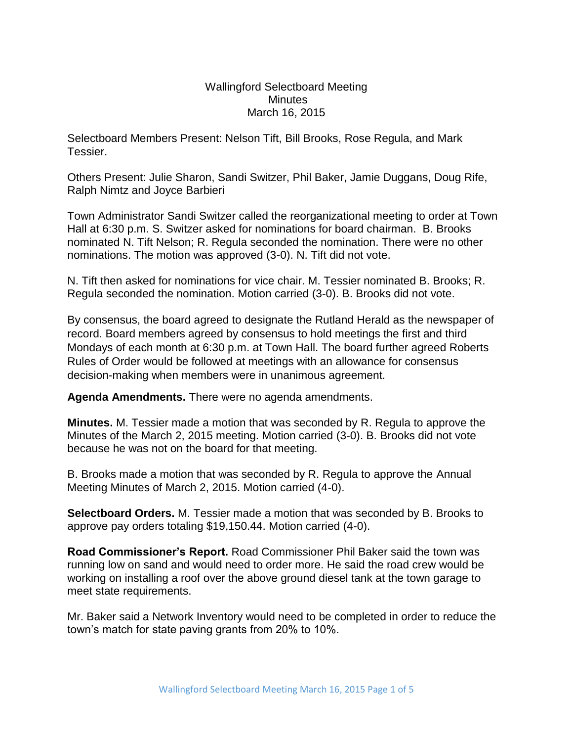## Wallingford Selectboard Meeting **Minutes** March 16, 2015

Selectboard Members Present: Nelson Tift, Bill Brooks, Rose Regula, and Mark Tessier.

Others Present: Julie Sharon, Sandi Switzer, Phil Baker, Jamie Duggans, Doug Rife, Ralph Nimtz and Joyce Barbieri

Town Administrator Sandi Switzer called the reorganizational meeting to order at Town Hall at 6:30 p.m. S. Switzer asked for nominations for board chairman. B. Brooks nominated N. Tift Nelson; R. Regula seconded the nomination. There were no other nominations. The motion was approved (3-0). N. Tift did not vote.

N. Tift then asked for nominations for vice chair. M. Tessier nominated B. Brooks; R. Regula seconded the nomination. Motion carried (3-0). B. Brooks did not vote.

By consensus, the board agreed to designate the Rutland Herald as the newspaper of record. Board members agreed by consensus to hold meetings the first and third Mondays of each month at 6:30 p.m. at Town Hall. The board further agreed Roberts Rules of Order would be followed at meetings with an allowance for consensus decision-making when members were in unanimous agreement.

**Agenda Amendments.** There were no agenda amendments.

**Minutes.** M. Tessier made a motion that was seconded by R. Regula to approve the Minutes of the March 2, 2015 meeting. Motion carried (3-0). B. Brooks did not vote because he was not on the board for that meeting.

B. Brooks made a motion that was seconded by R. Regula to approve the Annual Meeting Minutes of March 2, 2015. Motion carried (4-0).

**Selectboard Orders.** M. Tessier made a motion that was seconded by B. Brooks to approve pay orders totaling \$19,150.44. Motion carried (4-0).

**Road Commissioner's Report.** Road Commissioner Phil Baker said the town was running low on sand and would need to order more. He said the road crew would be working on installing a roof over the above ground diesel tank at the town garage to meet state requirements.

Mr. Baker said a Network Inventory would need to be completed in order to reduce the town's match for state paving grants from 20% to 10%.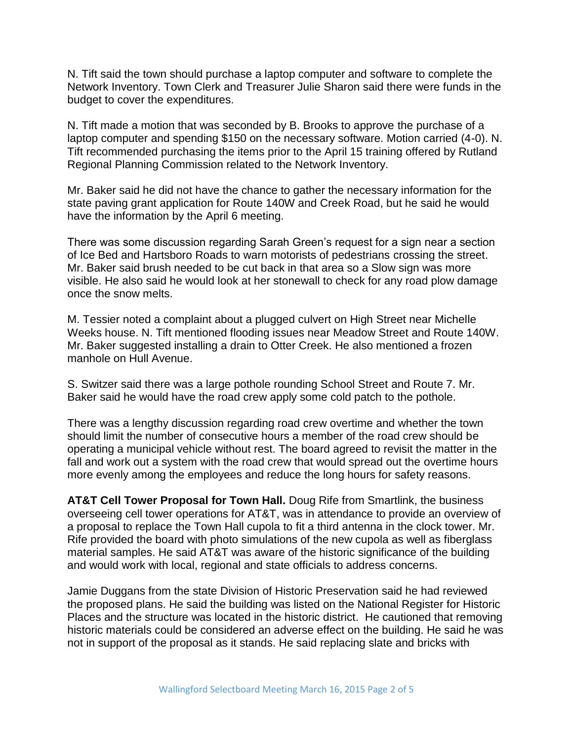N. Tift said the town should purchase a laptop computer and software to complete the Network Inventory. Town Clerk and Treasurer Julie Sharon said there were funds in the budget to cover the expenditures.

N. Tift made a motion that was seconded by B. Brooks to approve the purchase of a laptop computer and spending \$150 on the necessary software. Motion carried (4-0). N. Tift recommended purchasing the items prior to the April 15 training offered by Rutland Regional Planning Commission related to the Network Inventory.

Mr. Baker said he did not have the chance to gather the necessary information for the state paving grant application for Route 140W and Creek Road, but he said he would have the information by the April 6 meeting.

There was some discussion regarding Sarah Green's request for a sign near a section of Ice Bed and Hartsboro Roads to warn motorists of pedestrians crossing the street. Mr. Baker said brush needed to be cut back in that area so a Slow sign was more visible. He also said he would look at her stonewall to check for any road plow damage once the snow melts.

M. Tessier noted a complaint about a plugged culvert on High Street near Michelle Weeks house. N. Tift mentioned flooding issues near Meadow Street and Route 140W. Mr. Baker suggested installing a drain to Otter Creek. He also mentioned a frozen manhole on Hull Avenue.

S. Switzer said there was a large pothole rounding School Street and Route 7. Mr. Baker said he would have the road crew apply some cold patch to the pothole.

There was a lengthy discussion regarding road crew overtime and whether the town should limit the number of consecutive hours a member of the road crew should be operating a municipal vehicle without rest. The board agreed to revisit the matter in the fall and work out a system with the road crew that would spread out the overtime hours more evenly among the employees and reduce the long hours for safety reasons.

**AT&T Cell Tower Proposal for Town Hall.** Doug Rife from Smartlink, the business overseeing cell tower operations for AT&T, was in attendance to provide an overview of a proposal to replace the Town Hall cupola to fit a third antenna in the clock tower. Mr. Rife provided the board with photo simulations of the new cupola as well as fiberglass material samples. He said AT&T was aware of the historic significance of the building and would work with local, regional and state officials to address concerns.

Jamie Duggans from the state Division of Historic Preservation said he had reviewed the proposed plans. He said the building was listed on the National Register for Historic Places and the structure was located in the historic district. He cautioned that removing historic materials could be considered an adverse effect on the building. He said he was not in support of the proposal as it stands. He said replacing slate and bricks with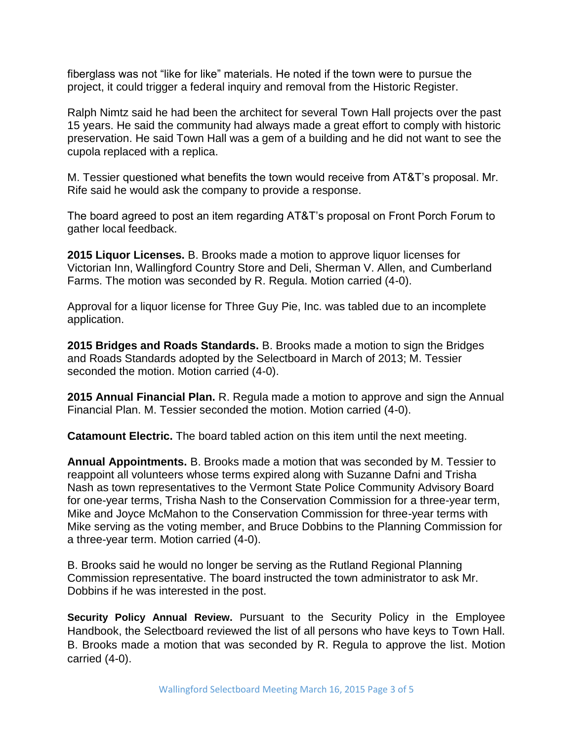fiberglass was not "like for like" materials. He noted if the town were to pursue the project, it could trigger a federal inquiry and removal from the Historic Register.

Ralph Nimtz said he had been the architect for several Town Hall projects over the past 15 years. He said the community had always made a great effort to comply with historic preservation. He said Town Hall was a gem of a building and he did not want to see the cupola replaced with a replica.

M. Tessier questioned what benefits the town would receive from AT&T's proposal. Mr. Rife said he would ask the company to provide a response.

The board agreed to post an item regarding AT&T's proposal on Front Porch Forum to gather local feedback.

**2015 Liquor Licenses.** B. Brooks made a motion to approve liquor licenses for Victorian Inn, Wallingford Country Store and Deli, Sherman V. Allen, and Cumberland Farms. The motion was seconded by R. Regula. Motion carried (4-0).

Approval for a liquor license for Three Guy Pie, Inc. was tabled due to an incomplete application.

**2015 Bridges and Roads Standards.** B. Brooks made a motion to sign the Bridges and Roads Standards adopted by the Selectboard in March of 2013; M. Tessier seconded the motion. Motion carried (4-0).

**2015 Annual Financial Plan.** R. Regula made a motion to approve and sign the Annual Financial Plan. M. Tessier seconded the motion. Motion carried (4-0).

**Catamount Electric.** The board tabled action on this item until the next meeting.

**Annual Appointments.** B. Brooks made a motion that was seconded by M. Tessier to reappoint all volunteers whose terms expired along with Suzanne Dafni and Trisha Nash as town representatives to the Vermont State Police Community Advisory Board for one-year terms, Trisha Nash to the Conservation Commission for a three-year term, Mike and Joyce McMahon to the Conservation Commission for three-year terms with Mike serving as the voting member, and Bruce Dobbins to the Planning Commission for a three-year term. Motion carried (4-0).

B. Brooks said he would no longer be serving as the Rutland Regional Planning Commission representative. The board instructed the town administrator to ask Mr. Dobbins if he was interested in the post.

**Security Policy Annual Review.** Pursuant to the Security Policy in the Employee Handbook, the Selectboard reviewed the list of all persons who have keys to Town Hall. B. Brooks made a motion that was seconded by R. Regula to approve the list. Motion carried (4-0).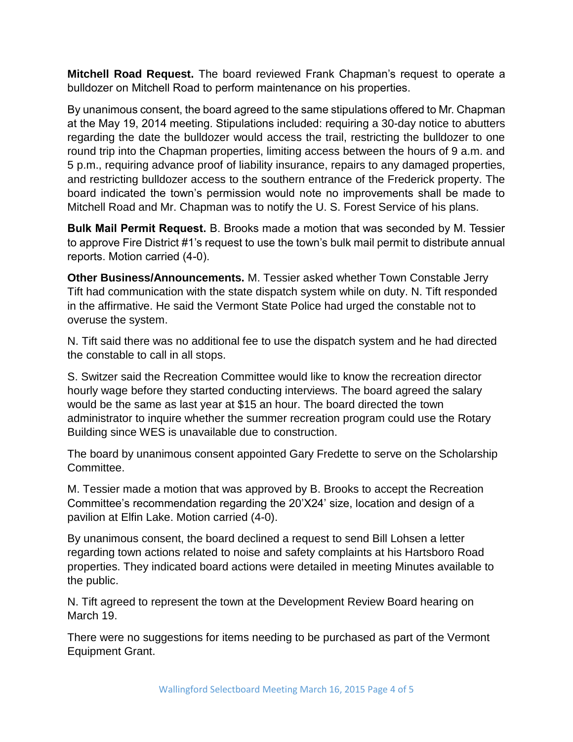**Mitchell Road Request.** The board reviewed Frank Chapman's request to operate a bulldozer on Mitchell Road to perform maintenance on his properties.

By unanimous consent, the board agreed to the same stipulations offered to Mr. Chapman at the May 19, 2014 meeting. Stipulations included: requiring a 30-day notice to abutters regarding the date the bulldozer would access the trail, restricting the bulldozer to one round trip into the Chapman properties, limiting access between the hours of 9 a.m. and 5 p.m., requiring advance proof of liability insurance, repairs to any damaged properties, and restricting bulldozer access to the southern entrance of the Frederick property. The board indicated the town's permission would note no improvements shall be made to Mitchell Road and Mr. Chapman was to notify the U. S. Forest Service of his plans.

**Bulk Mail Permit Request.** B. Brooks made a motion that was seconded by M. Tessier to approve Fire District #1's request to use the town's bulk mail permit to distribute annual reports. Motion carried (4-0).

**Other Business/Announcements.** M. Tessier asked whether Town Constable Jerry Tift had communication with the state dispatch system while on duty. N. Tift responded in the affirmative. He said the Vermont State Police had urged the constable not to overuse the system.

N. Tift said there was no additional fee to use the dispatch system and he had directed the constable to call in all stops.

S. Switzer said the Recreation Committee would like to know the recreation director hourly wage before they started conducting interviews. The board agreed the salary would be the same as last year at \$15 an hour. The board directed the town administrator to inquire whether the summer recreation program could use the Rotary Building since WES is unavailable due to construction.

The board by unanimous consent appointed Gary Fredette to serve on the Scholarship Committee.

M. Tessier made a motion that was approved by B. Brooks to accept the Recreation Committee's recommendation regarding the 20'X24' size, location and design of a pavilion at Elfin Lake. Motion carried (4-0).

By unanimous consent, the board declined a request to send Bill Lohsen a letter regarding town actions related to noise and safety complaints at his Hartsboro Road properties. They indicated board actions were detailed in meeting Minutes available to the public.

N. Tift agreed to represent the town at the Development Review Board hearing on March 19.

There were no suggestions for items needing to be purchased as part of the Vermont Equipment Grant.